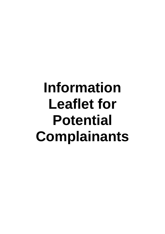# **Information Leaflet for Potential Complainants**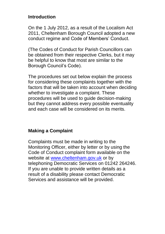### **Introduction**

On the 1 July 2012, as a result of the Localism Act 2011, Cheltenham Borough Council adopted a new conduct regime and Code of Members' Conduct.

(The Codes of Conduct for Parish Councillors can be obtained from their respective Clerks, but it may be helpful to know that most are similar to the Borough Council's Code).

The procedures set out below explain the process for considering these complaints together with the factors that will be taken into account when deciding whether to investigate a complaint. These procedures will be used to guide decision-making but they cannot address every possible eventuality and each case will be considered on its merits.

## **Making a Complaint**

Complaints must be made in writing to the Monitoring Officer, either by letter or by using the Code of Conduct complaint form available on the website at [www.cheltenham.gov.uk](http://www.tewkesbury.gov.uk/) or by telephoning Democratic Services on 01242 264246. If you are unable to provide written details as a result of a disability please contact Democratic Services and assistance will be provided.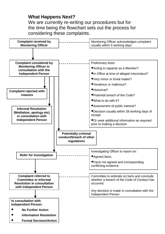### **What Happens Next?**

We are currently re-writing our procedures but for the time being the flowchart sets out the process for considering these complaints.